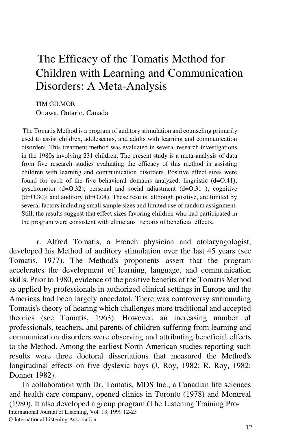# The Efficacy of the Tomatis Method for Children with Learning and Communication Disorders: A Meta-Analysis

TIM GILMOR Ottawa, Ontario, Canada

The Tomatis Method is a program of auditory stimulation and counseling primarily used to assist children, adolescents, and adults with learning and communication disorders. This treatment method was evaluated in several research investigations in the 1980s involving 231 children. The present study is a meta-analysis of data from five research studies evaluating the efficacy of this method in assisting children with learning and communication disorders. Positive effect sizes were found for each of the five behavioral domains analyzed: linguistic  $(d=0.41)$ ; pyschomotor  $(d=0.32)$ ; personal and social adjustment  $(d=0.31)$ ; cognitive  $(d=0.30)$ ; and auditory  $(d=0.04)$ . These results, although positive, are limited by several factors including small sample sizes and limited use of random assignment. Still, the results suggest that effect sizes favoring children who had participated in the program were consistent with clinicians ' reports of beneficial effects.

r. Alfred Tomatis, a French physician and otolaryngologist, developed his Method of auditory stimulation over the last 45 years (see Tomatis, 1977). The Method's proponents assert that the program accelerates the development of learning, language, and communication skills. Prior to 1980, evidence of the positive benefits of the Tomatis Method as applied by professionals in authorized clinical settings in Europe and the Americas had been largely anecdotal. There was controversy surrounding Tomatis's theory of hearing which challenges more traditional and accepted theories (see Tomatis, 1963). However, an increasing number of professionals, teachers, and parents of children suffering from learning and communication disorders were observing and attributing beneficial effects to the Method. Among the earliest North American studies reporting such results were three doctoral dissertations that measured the Method's longitudinal effects on five dyslexic boys (J. Roy, 1982; R. Roy, 1982; Donner 1982).

In collaboration with Dr. Tomatis, MDS Inc., a Canadian life sciences and health care company, opened clinics in Toronto (1978) and Montreal (1980). It also developed a group program (The Listening Training Pro-International Journal of Listening, Vol. 13, 1999 12-23 O International Listening Association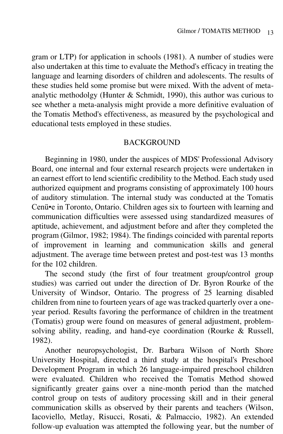gram or LTP) for application in schools (1981). A number of studies were also undertaken at this time to evaluate the Method's efficacy in treating the language and learning disorders of children and adolescents. The results of these studies held some promise but were mixed. With the advent of metaanalytic methodolgy (Hunter & Schmidt, 1990), this author was curious to see whether a meta-analysis might provide a more definitive evaluation of the Tomatis Method's effectiveness, as measured by the psychological and educational tests employed in these studies.

#### **BACKGROUND**

Beginning in 1980, under the auspices of MDS' Professional Advisory Board, one internal and four external research projects were undertaken in an earnest effort to lend scientific credibility to the Method. Each study used authorized equipment and programs consisting of approximately 100 hours of auditory stimulation. The internal study was conducted at the Tomatis Cenü•e in Toronto, Ontario. Children ages six to fourteen with learning and communication difficulties were assessed using standardized measures of aptitude, achievement, and adjustment before and after they completed the program (Gilmor, 1982; 1984). The findings coincided with parental reports of improvement in learning and communication skills and general adjustment. The average time between pretest and post-test was 13 months for the 102 children.

The second study (the first of four treatment group/control group studies) was carried out under the direction of Dr. Byron Rourke of the University of Windsor, Ontario. The progress of 25 learning disabled children from nine to fourteen years of age was tracked quarterly over a oneyear period. Results favoring the performance of children in the treatment (Tomatis) group were found on measures of general adjustment, problemsolving ability, reading, and hand-eye coordination (Rourke & Russell, 1982).

Another neuropsychologist, Dr. Barbara Wilson of North Shore University Hospital, directed a third study at the hospital's Preschool Development Program in which 26 language-impaired preschool children were evaluated. Children who received the Tomatis Method showed significantly greater gains over a nine-month period than the matched control group on tests of auditory processing skill and in their general communication skills as observed by their parents and teachers (Wilson, Iacoviello, Metlay, Risucci, Rosati, & Palmaccio, 1982). An extended follow-up evaluation was attempted the following year, but the number of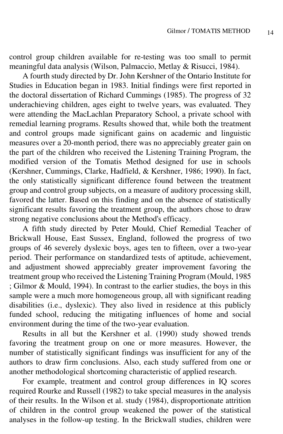control group children available for re-testing was too small to permit meaningful data analysis (Wilson, Palmaccio, Metlay & Risucci, 1984).

A fourth study directed by Dr. John Kershner of the Ontario Institute for Studies in Education began in 1983. Initial findings were first reported in the doctoral dissertation of Richard Cummings (1985). The progress of 32 underachieving children, ages eight to twelve years, was evaluated. They were attending the MacLachlan Preparatory School, a private school with remedial learning programs. Results showed that, while both the treatment and control groups made significant gains on academic and linguistic measures over a 20-month period, there was no appreciably greater gain on the part of the children who received the Listening Training Program, the modified version of the Tomatis Method designed for use in schools (Kershner, Cummings, Clarke, Hadfield, & Kershner, 1986; 1990). In fact, the only statistically significant difference found between the treatment group and control group subjects, on a measure of auditory processing skill, favored the latter. Based on this finding and on the absence of statistically significant results favoring the treatment group, the authors chose to draw strong negative conclusions about the Method's efficacy.

A fifth study directed by Peter Mould, Chief Remedial Teacher of Brickwall House, East Sussex, England, followed the progress of two groups of 46 severely dyslexic boys, ages ten to fifteen, over a two-year period. Their performance on standardized tests of aptitude, achievement, and adjustment showed appreciably greater improvement favoring the treatment group who received the Listening Training Program (Mould, 1985 ; Gilmor & Mould, 1994). In contrast to the earlier studies, the boys in this sample were a much more homogeneous group, all with significant reading disabilities (i.e., dyslexic). They also lived in residence at this publicly funded school, reducing the mitigating influences of home and social environment during the time of the two-year evaluation.

Results in all but the Kershner et al. (1990) study showed trends favoring the treatment group on one or more measures. However, the number of statistically significant findings was insufficient for any of the authors to draw firm conclusions. Also, each study suffered from one or another methodological shortcoming characteristic of applied research.

For example, treatment and control group differences in IQ scores required Rourke and Russell (1982) to take special measures in the analysis of their results. In the Wilson et al. study (1984), disproportionate attrition of children in the control group weakened the power of the statistical analyses in the follow-up testing. In the Brickwall studies, children were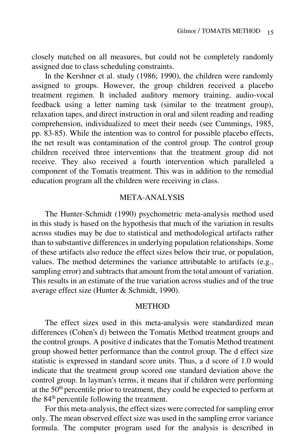closely matched on all measures, but could not be completely randomly assigned due to class scheduling constraints.

In the Kershner et al. study (1986; 1990), the children were randomly assigned to groups. However, the group children received a placebo treatment regimen. It included auditory memory training, audio-vocal feedback using a letter naming task (similar to the treatment group), relaxation tapes, and direct instruction in oral and silent reading and reading comprehension, individualized to meet their needs (see Cummings, 1985, pp. 83-85). While the intention was to control for possible placebo effects, the net result was contamination of the control group. The control group children received three interventions that the treatment group did not receive. They also received a fourth intervention which paralleled a component of the Tomatis treatment. This was in addition to the remedial education program all the children were receiving in class.

#### META-ANALYSIS

The Hunter-Schmidt (1990) psychometric meta-analysis method used in this study is based on the hypothesis that much of the variation in results across studies may be due to statistical and methodological artifacts rather than to substantive differences in underlying population relationships. Some of these artifacts also reduce the effect sizes below their true, or population, values. The method determines the variance attributable to artifacts (e.g., sampling error) and subtracts that amount from the total amount of variation. This results in an estimate of the true variation across studies and of the true average effect size (Hunter & Schmidt, 1990).

#### **METHOD**

The effect sizes used in this meta-analysis were standardized mean differences (Cohen's d) between the Tomatis Method treatment groups and the control groups. A positive d indicates that the Tomatis Method treatment group showed better performance than the control group. The d effect size statistic is expressed in standard score units. Thus, a d score of 1.0 would indicate that the treatment group scored one standard deviation above the control group. In layman's terms, it means that if children were performing at the 50<sup>th</sup> percentile prior to treatment, they could be expected to perform at the 84th percentile following the treatment.

For this meta-analysis, the effect sizes were corrected for sampling error only. The mean observed effect size was used in the sampling error variance formula. The computer program used for the analysis is described in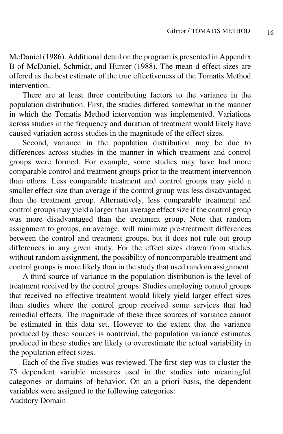McDaniel (1986). Additional detail on the program is presented in Appendix B of McDaniel, Schmidt, and Hunter (1988). The mean d effect sizes are offered as the best estimate of the true effectiveness of the Tomatis Method intervention.

There are at least three contributing factors to the variance in the population distribution. First, the studies differed somewhat in the manner in which the Tomatis Method intervention was implemented. Variations across studies in the frequency and duration of treatment would likely have caused variation across studies in the magnitude of the effect sizes.

Second, variance in the population distribution may be due to differences across studies in the manner in which treatment and control groups were formed. For example, some studies may have had more comparable control and treatment groups prior to the treatment intervention than others. Less comparable treatment and control groups may yield a smaller effect size than average if the control group was less disadvantaged than the treatment group. Alternatively, less comparable treatment and control groups may yield a larger than average effect size if the control group was more disadvantaged than the treatment group. Note that random assignment to groups, on average, will minimize pre-treatment differences between the control and treatment groups, but it does not rule out group differences in any given study. For the effect sizes drawn from studies without random assignment, the possibility of noncomparable treatment and control groups is more likely than in the study that used random assignment.

A third source of variance in the population distribution is the level of treatment received by the control groups. Studies employing control groups that received no effective treatment would likely yield larger effect sizes than studies where the control group received some services that had remedial effects. The magnitude of these three sources of variance cannot be estimated in this data set. However to the extent that the variance produced by these sources is nontrivial, the population variance estimates produced in these studies are likely to overestimate the actual variability in the population effect sizes.

Each of the five studies was reviewed. The first step was to cluster the 75 dependent variable measures used in the studies into meaningful categories or domains of behavior. On an a priori basis, the dependent variables were assigned to the following categories: Auditory Domain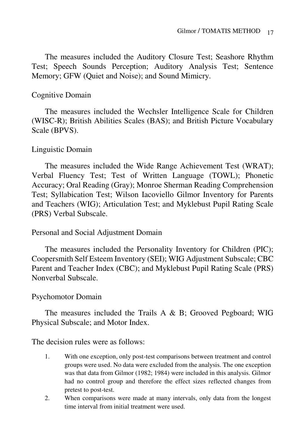The measures included the Auditory Closure Test; Seashore Rhythm Test; Speech Sounds Perception; Auditory Analysis Test; Sentence Memory; GFW (Quiet and Noise); and Sound Mimicry.

#### Cognitive Domain

The measures included the Wechsler Intelligence Scale for Children (WISC-R); British Abilities Scales (BAS); and British Picture Vocabulary Scale (BPVS).

#### Linguistic Domain

The measures included the Wide Range Achievement Test (WRAT); Verbal Fluency Test; Test of Written Language (TOWL); Phonetic Accuracy; Oral Reading (Gray); Monroe Sherman Reading Comprehension Test; Syllabication Test; Wilson Iacoviello Gilmor Inventory for Parents and Teachers (WIG); Articulation Test; and Myklebust Pupil Rating Scale (PRS) Verbal Subscale.

#### Personal and Social Adjustment Domain

The measures included the Personality Inventory for Children (PIC); Coopersmith Self Esteem Inventory (SEI); WIG Adjustment Subscale; CBC Parent and Teacher Index (CBC); and Myklebust Pupil Rating Scale (PRS) Nonverbal Subscale.

#### Psychomotor Domain

The measures included the Trails A & B; Grooved Pegboard; WIG Physical Subscale; and Motor Index.

The decision rules were as follows:

- 1. With one exception, only post-test comparisons between treatment and control groups were used. No data were excluded from the analysis. The one exception was that data from Gilmor (1982; 1984) were included in this analysis. Gilmor had no control group and therefore the effect sizes reflected changes from pretest to post-test.
- 2. When comparisons were made at many intervals, only data from the longest time interval from initial treatment were used.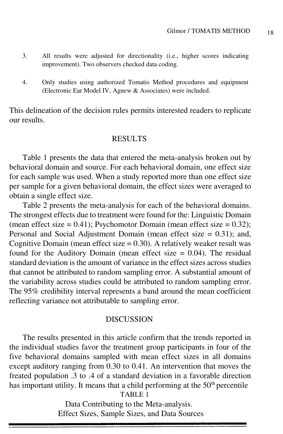- 3. All results were adjusted for directionality (i.e., higher scores indicating improvement). Two observers checked data coding.
- 4. Only studies using authorized Tomatis Method procedures and equipment (Electronic Ear Model IV, Agnew & Associates) were included.

This delineation of the decision rules permits interested readers to replicate our results.

#### RESULTS

Table 1 presents the data that entered the meta-analysis broken out by behavioral domain and source. For each behavioral domain, one effect size for each sample was used. When a study reported more than one effect size per sample for a given behavioral domain, the effect sizes were averaged to obtain a single effect size.

Table 2 presents the meta-analysis for each of the behavioral domains. The strongest effects due to treatment were found for the: Linguistic Domain (mean effect size  $= 0.41$ ); Psychomotor Domain (mean effect size  $= 0.32$ ); Personal and Social Adjustment Domain (mean effect size = 0.31); and, Cognitive Domain (mean effect size  $= 0.30$ ). A relatively weaker result was found for the Auditory Domain (mean effect size  $= 0.04$ ). The residual standard deviation is the amount of variance in the effect sizes across studies that cannot be attributed to random sampling error. A substantial amount of the variability across studies could be attributed to random sampling error. The 95% credibility interval represents a band around the mean coefficient reflecting variance not attributable to sampling error.

#### **DISCUSSION**

The results presented in this article confirm that the trends reported in the individual studies favor the treatment group participants in four of the five behavioral domains sampled with mean effect sizes in all domains except auditory ranging from 0.30 to 0.41. An intervention that moves the freated population .3 to .4 of a standard deviation in a favorable direction has important utility. It means that a child performing at the 50<sup>th</sup> percentile

TABLE 1

Data Contributing to the Meta-analysis. Effect Sizes, Sample Sizes, and Data Sources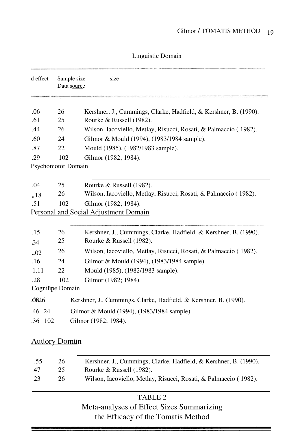#### Linguistic Domain

| d effect | Sample size<br>Data source | size                                                             |  |  |  |  |
|----------|----------------------------|------------------------------------------------------------------|--|--|--|--|
| .06      | 26                         | Kershner, J., Cummings, Clarke, Hadfield, & Kershner, B. (1990). |  |  |  |  |
| .61      | 25                         | Rourke & Russell (1982).                                         |  |  |  |  |
| .44      | 26                         | Wilson, Iacoviello, Metlay, Risucci, Rosati, & Palmaccio (1982). |  |  |  |  |
| .60      | 24                         | Gilmor & Mould (1994), (1983/1984 sample).                       |  |  |  |  |
| .87      | 22                         | Mould (1985), (1982/1983 sample).                                |  |  |  |  |
| .29      | 102                        | Gilmor (1982; 1984).                                             |  |  |  |  |
|          | <b>Psychomotor Domain</b>  |                                                                  |  |  |  |  |
| .04      | 25                         | Rourke & Russell (1982).                                         |  |  |  |  |
| .18      | 26                         | Wilson, Iacoviello, Metlay, Risucci, Rosati, & Palmaccio (1982). |  |  |  |  |
| .51      | 102                        | Gilmor (1982; 1984).                                             |  |  |  |  |
|          |                            | Personal and Social Adjustment Domain                            |  |  |  |  |
| .15      | 26                         | Kershner, J., Cummings, Clarke, Hadfield, & Kershner, B, (1990). |  |  |  |  |
| .34      | 25                         | Rourke & Russell (1982).                                         |  |  |  |  |
| $-02$    | 26                         | Wilson, Iacoviello, Metlay, Risucci, Rosati, & Palmaccio (1982). |  |  |  |  |
| .16      | 24                         | Gilmor & Mould (1994), (1983/1984 sample).                       |  |  |  |  |
| 1.11     | 22                         | Mould (1985), (1982/1983 sample).                                |  |  |  |  |
| .28      | 102                        | Gilmor (1982; 1984).                                             |  |  |  |  |
|          | Cogniüpe Domain            |                                                                  |  |  |  |  |
|          |                            | Kershner, J., Cummings, Clarke, Hadfield, & Kershner, B. (1990). |  |  |  |  |
| .0826    |                            |                                                                  |  |  |  |  |
| .46 24   |                            | Gilmor & Mould (1994), (1983/1984 sample).                       |  |  |  |  |

### Auüory Domün

| $-.55$ | 26 | Kershner, J., Cummings, Clarke, Hadfield, & Kershner, B. (1990). |
|--------|----|------------------------------------------------------------------|
| .47    | 25 | Rourke & Russell (1982).                                         |
| .23    | 26 | Wilson, Iacoviello, Metlay, Risucci, Rosati, & Palmaccio (1982). |

## TABLE 2

Meta-analyses of Effect Sizes Summarizing the Efficacy of the Tomatis Method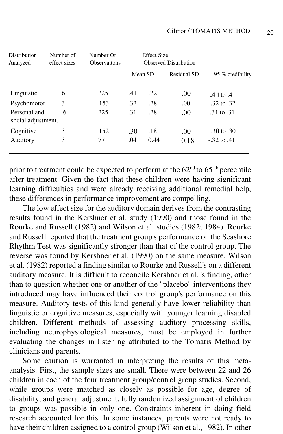| Distribution<br>Analyzed           | Number of<br>effect sizes | Number Of<br><b>Observations</b> | <b>Effect Size</b><br><b>Observed Distribution</b> |      |             |                  |
|------------------------------------|---------------------------|----------------------------------|----------------------------------------------------|------|-------------|------------------|
|                                    |                           |                                  | Mean SD                                            |      | Residual SD | 95 % credibility |
| Linguistic                         | 6                         | 225                              | .41                                                | .22  | .00         | .4 1 to .41      |
| Psychomotor                        | 3                         | 153                              | .32                                                | .28  | .00         | .32 to .32       |
| Personal and<br>social adjustment. | 6                         | 225                              | .31                                                | .28  | .00.        | .31 to .31       |
| Cognitive                          | 3                         | 152                              | .30                                                | .18  | .00         | .30 to .30       |
| Auditory                           | 3                         | 77                               | .04                                                | 0.44 | 0.18        | $-.32$ to $.41$  |

prior to treatment could be expected to perform at the  $62<sup>nd</sup>$  to  $65<sup>th</sup>$  percentile after treatment. Given the fact that these children were having significant learning difficulties and were already receiving additional remedial help, these differences in performance improvement are compelling.

The low effect size for the auditory domain derives from the contrasting results found in the Kershner et al. study (1990) and those found in the Rourke and Russell (1982) and Wilson et al. studies (1982; 1984). Rourke and Russell reported that the treatment group's performance on the Seashore Rhythm Test was significantly sfronger than that of the control group. The reverse was found by Kershner et al. (1990) on the same measure. Wilson et al. (1982) reported a finding similar to Rourke and Russell's on a different auditory measure. It is difficult to reconcile Kershner et al. 's finding, other than to question whether one or another of the "placebo" interventions they introduced may have influenced their control group's performance on this measure. Auditory tests of this kind generally have lower reliability than linguistic or cognitive measures, especially with younger learning disabled children. Different methods of assessing auditory processing skills, including neurophysiological measures, must be employed in further evaluating the changes in listening attributed to the Tomatis Method by clinicians and parents.

Some caution is warranted in interpreting the results of this metaanalysis. First, the sample sizes are small. There were between 22 and 26 children in each of the four treatment group/control group studies. Second, while groups were matched as closely as possible for age, degree of disability, and general adjustment, fully randomized assignment of children to groups was possible in only one. Constraints inherent in doing field research accounted for this. In some instances, parents were not ready to have their children assigned to a control group (Wilson et al., 1982). In other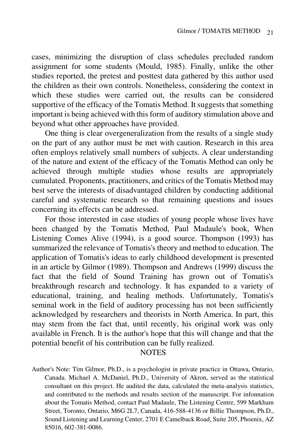cases, minimizing the disruption of class schedules precluded random assignment for some students (Mould, 1985). Finally, unlike the other studies reported, the pretest and posttest data gathered by this author used the children as their own controls. Nonetheless, considering the context in which these studies were carried out, the results can be considered supportive of the efficacy of the Tomatis Method. It suggests that something important is being achieved with this form of auditory stimulation above and beyond what other approaches have provided.

One thing is clear overgeneralization from the results of a single study on the part of any author must be met with caution. Research in this area often employs relatively small numbers of subjects. A clear understanding of the nature and extent of the efficacy of the Tomatis Method can only be achieved through multiple studies whose results are appropriately cumulated. Proponents, practitioners, and critics of the Tomatis Method may best serve the interests of disadvantaged children by conducting additional careful and systematic research so that remaining questions and issues concerning its effects can be addressed.

For those interested in case studies of young people whose lives have been changed by the Tomatis Method, Paul Madaule's book, When Listening Comes Alive (1994), is a good source. Thompson (1993) has summarized the relevance of Tomatis's theory and method to education. The application of Tomatis's ideas to early childhood development is presented in an article by Gilmor (1989). Thompson and Andrews (1999) discuss the fact that the field of Sound Training has grown out of Tomatis's breakthrough research and technology. It has expanded to a variety of educational, training, and healing methods. Unfortunately, Tomatis's seminal work in the field of auditory processing has not been sufficiently acknowledged by researchers and theorists in North America. In part, this may stem from the fact that, until recently, his original work was only available in French. It is the author's hope that this will change and that the potential benefit of his contribution can be fully realized.

#### **NOTES**

Author's Note: Tim Gilmor, Ph.D., is a psychologist in private practice in Ottawa, Ontario, Canada. Michael A. McDaniel, Ph.D., University of Akron, served as the statistical consultant on this project. He audited the data, calculated the meta-analysis statistics, and contributed to the methods and results section of the manuscript. For infonnation about the Tomatis Method, contact Paul Madaule, The Listening Centre, 599 Markham Street, Toronto, Ontario, M6G 2L7, Canada, 416-588-4136 or Billie Thompson, Ph.D., Sound Listening and Learning Center, 2701 E Camelback Road, Suite 205, Phoenix, AZ 85016, 602-381-0086.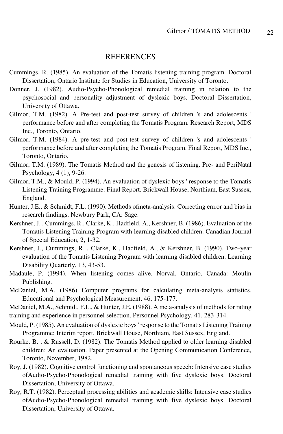#### REFERENCES

- Cummings, R. (1985). An evaluation of the Tomatis listening training program. Doctoral Dissertation, Ontario Institute for Studies in Education, University of Toronto.
- Donner, J. (1982). Audio-Psycho-Phonological remedial training in relation to the psychosocial and personality adjustment of dyslexic boys. Doctoral Dissertation, University of Ottawa.
- Gilmor, T.M. (1982). A Pre-test and post-test survey of children 's and adolescents ' performance before and after completing the Tomatis Program. Research Report, MDS Inc., Toronto, Ontario.
- Gilmor, T.M. (1984). A pre-test and post-test survey of children 's and adolescents ' performance before and after completing the Tomatis Program. Final Report, MDS Inc., Toronto, Ontario.
- Gilmor, T.M. (1989). The Tomatis Method and the genesis of listening. Pre- and PeriNatal Psychology, 4 (1), 9-26.
- Gilmor, T.M., & Mould, P. (1994). An evaluation of dyslexic boys ' response to the Tomatis Listening Training Programme: Final Report. Brickwall House, Northiam, East Sussex, England.
- Hunter, J.E., & Schmidt, F.L. (1990). Methods ofmeta-analysis: Correcting errror and bias in research findings. Newbury Park, CA: Sage.
- Kershner, J. , Cummings, R., Clarke, K., Hadfield, A., Kershner, B. (1986). Evaluation of the Tomatis Listening Training Program with learning disabled children. Canadian Journal of Special Education, 2, 1-32.
- Kershner, J., Cummings, R. , Clarke, K., Hadfield, A., & Kershner, B. (1990). Two-year evaluation of the Tomatis Listening Program with learning disabled children. Learning Disability Quarterly, 13, 43-53.
- Madaule, P. (1994). When listening comes alive. Norval, Ontario, Canada: Moulin Publishing.
- McDaniel, M.A. (1986) Computer programs for calculating meta-analysis statistics. Educational and Psychological Measurement, 46, 175-177.
- McDaniel, M.A., Schmidt, F.L., & Hunter, J.E. (1988). A meta-analysis of methods for rating training and experience in personnel selection. Personnel Psychology, 41, 283-314.
- Mould, P. (1985). An evaluation of dyslexic boys ' response to the Tomatis Listening Training Programme: Interim report. Brickwall House, Northiam, East Sussex, England.
- Rourke. B. , & Russell, D. (1982). The Tomatis Method applied to older learning disabled children: An evaluation. Paper presented at the Opening Communication Conference, Toronto, November, 1982.
- Roy, J. (1982). Cognitive control functioning and spontaneous speech: Intensive case studies ofAudio-Psycho-Phonological remedial training with five dyslexic boys. Doctoral Dissertation, University of Ottawa.
- Roy, R.T. (1982). Perceptual processing abilities and academic skills: Intensive case studies ofAudio-Psycho-Phonological remedial training with five dyslexic boys. Doctoral Dissertation, University of Ottawa.